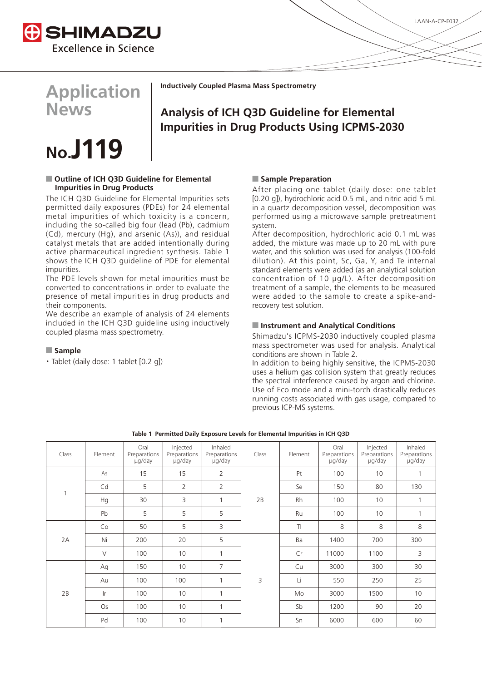



# **No.J119**

# ■ Outline of ICH Q3D Guideline for Elemental **Impurities in Drug Products**

The ICH Q3D Guideline for Elemental Impurities sets permitted daily exposures (PDEs) for 24 elemental metal impurities of which toxicity is a concern, including the so-called big four (lead (Pb), cadmium (Cd), mercury (Hg), and arsenic (As)), and residual catalyst metals that are added intentionally during active pharmaceutical ingredient synthesis. Table 1 shows the ICH Q3D guideline of PDE for elemental impurities.

The PDE levels shown for metal impurities must be converted to concentrations in order to evaluate the presence of metal impurities in drug products and their components.

We describe an example of analysis of 24 elements included in the ICH Q3D guideline using inductively coupled plasma mass spectrometry.

# Q **Sample**

・Tablet (daily dose: 1 tablet [0.2 g])

# **Inductively Coupled Plasma Mass Spectrometry**

# **Analysis of ICH Q3D Guideline for Elemental Impurities in Drug Products Using ICPMS-2030**

# Q **Sample Preparation**

After placing one tablet (daily dose: one tablet [0.20 g]), hydrochloric acid 0.5 mL, and nitric acid 5 mL in a quartz decomposition vessel, decomposition was performed using a microwave sample pretreatment system.

After decomposition, hydrochloric acid 0.1 mL was added, the mixture was made up to 20 mL with pure water, and this solution was used for analysis (100-fold dilution). At this point, Sc, Ga, Y, and Te internal standard elements were added (as an analytical solution concentration of 10 μg/L). After decomposition treatment of a sample, the elements to be measured were added to the sample to create a spike-andrecovery test solution.

# Q **Instrument and Analytical Conditions**

Shimadzu's ICPMS-2030 inductively coupled plasma mass spectrometer was used for analysis. Analytical conditions are shown in Table 2.

In addition to being highly sensitive, the ICPMS-2030 uses a helium gas collision system that greatly reduces the spectral interference caused by argon and chlorine. Use of Eco mode and a mini-torch drastically reduces running costs associated with gas usage, compared to previous ICP-MS systems.

| Class | Element        | Oral<br>Preparations<br>µg/day | Injected<br>Preparations<br>ug/day | Inhaled<br>Preparations<br>µg/day | Class | Element   | Oral<br>Preparations<br>µg/day | Injected<br>Preparations<br>ug/day | Inhaled<br>Preparations<br>µg/day |
|-------|----------------|--------------------------------|------------------------------------|-----------------------------------|-------|-----------|--------------------------------|------------------------------------|-----------------------------------|
|       | As             | 15                             | 15                                 | 2                                 | 2B    | Pt        | 100                            | 10                                 | $\mathbf{1}$                      |
|       | Cd             | 5                              | $\overline{2}$                     | $\overline{2}$                    |       | Se        | 150                            | 80                                 | 130                               |
|       | Hq             | 30                             | 3                                  | $\mathbf{1}$                      |       | <b>Rh</b> | 100                            | 10                                 | $\mathbf{1}$                      |
|       | Pb             | 5                              | 5                                  | 5                                 |       | Ru        | 100                            | 10                                 | 1                                 |
|       | Co             | 50                             | 5                                  | 3                                 |       | T         | 8                              | 8                                  | 8                                 |
| 2A    | Ni             | 200                            | 20                                 | 5                                 | 3     | Ba        | 1400                           | 700                                | 300                               |
|       | $\vee$         | 100                            | 10                                 | $\mathbf{1}$                      |       | Cr        | 11000                          | 1100                               | 3                                 |
|       | Ag             | 150                            | 10                                 | $\overline{7}$                    |       | Cu        | 3000                           | 300                                | 30                                |
|       | Au             | 100                            | 100                                | $\mathbf{1}$                      |       | Li        | 550                            | 250                                | 25                                |
| 2B    | $\mathsf{I}$ r | 100                            | 10                                 | 1                                 |       | Mo        | 3000                           | 1500                               | 10                                |
|       | Os             | 100                            | 10                                 | $\mathbf{1}$                      |       | Sb        | 1200                           | 90                                 | 20                                |
|       | Pd             | 100                            | 10                                 | 1                                 |       | Sn        | 6000                           | 600                                | 60                                |

### **Table 1 Permitted Daily Exposure Levels for Elemental Impurities in ICH Q3D**